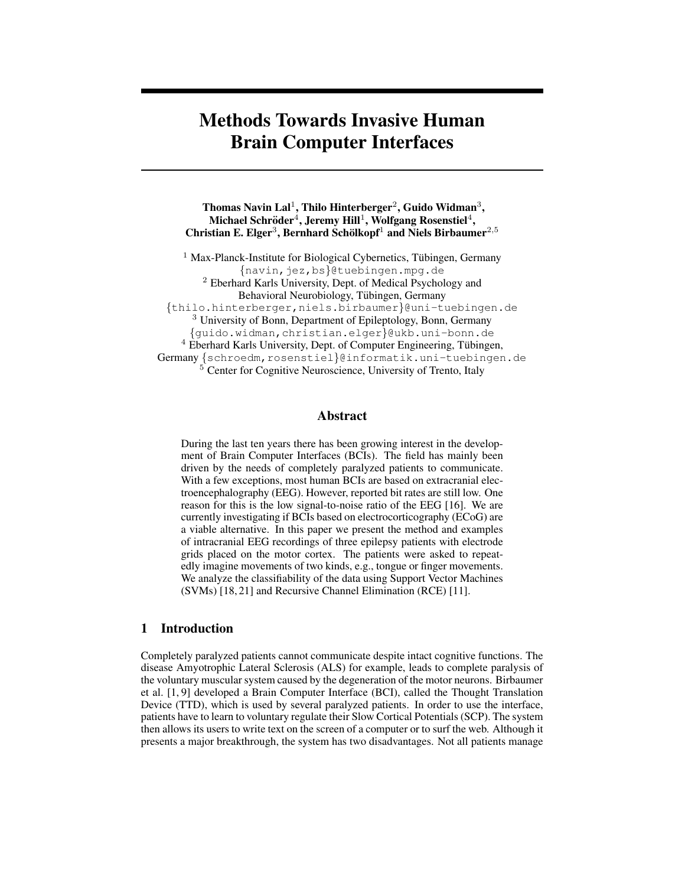# **Methods Towards Invasive Human Brain Computer Interfaces**

**Thomas Navin Lal**<sup>1</sup> **, Thilo Hinterberger**<sup>2</sup> **, Guido Widman**<sup>3</sup> **,**  $\mathbf{Michael Schröder}^4, \mathbf{Jeremy Hill}^1, \mathbf{Wolfgang Rosenstiel}^4,$ **Christian E. Elger**<sup>3</sup> **, Bernhard Scholkopf ¨** <sup>1</sup> **and Niels Birbaumer**<sup>2</sup>,<sup>5</sup>

 $1$  Max-Planck-Institute for Biological Cybernetics, Tübingen, Germany {navin,jez,bs}@tuebingen.mpg.de <sup>2</sup> Eberhard Karls University, Dept. of Medical Psychology and Behavioral Neurobiology, Tübingen, Germany {thilo.hinterberger,niels.birbaumer}@uni-tuebingen.de <sup>3</sup> University of Bonn, Department of Epileptology, Bonn, Germany {guido.widman,christian.elger}@ukb.uni-bonn.de <sup>4</sup> Eberhard Karls University, Dept. of Computer Engineering, Tübingen, Germany {schroedm, rosenstiel}@informatik.uni-tuebingen.de <sup>5</sup> Center for Cognitive Neuroscience, University of Trento, Italy

#### **Abstract**

During the last ten years there has been growing interest in the development of Brain Computer Interfaces (BCIs). The field has mainly been driven by the needs of completely paralyzed patients to communicate. With a few exceptions, most human BCIs are based on extracranial electroencephalography (EEG). However, reported bit rates are still low. One reason for this is the low signal-to-noise ratio of the EEG [16]. We are currently investigating if BCIs based on electrocorticography (ECoG) are a viable alternative. In this paper we present the method and examples of intracranial EEG recordings of three epilepsy patients with electrode grids placed on the motor cortex. The patients were asked to repeatedly imagine movements of two kinds, e.g., tongue or finger movements. We analyze the classifiability of the data using Support Vector Machines (SVMs) [18, 21] and Recursive Channel Elimination (RCE) [11].

### **1 Introduction**

Completely paralyzed patients cannot communicate despite intact cognitive functions. The disease Amyotrophic Lateral Sclerosis (ALS) for example, leads to complete paralysis of the voluntary muscular system caused by the degeneration of the motor neurons. Birbaumer et al. [1, 9] developed a Brain Computer Interface (BCI), called the Thought Translation Device (TTD), which is used by several paralyzed patients. In order to use the interface, patients have to learn to voluntary regulate their Slow Cortical Potentials (SCP). The system then allows its users to write text on the screen of a computer or to surf the web. Although it presents a major breakthrough, the system has two disadvantages. Not all patients manage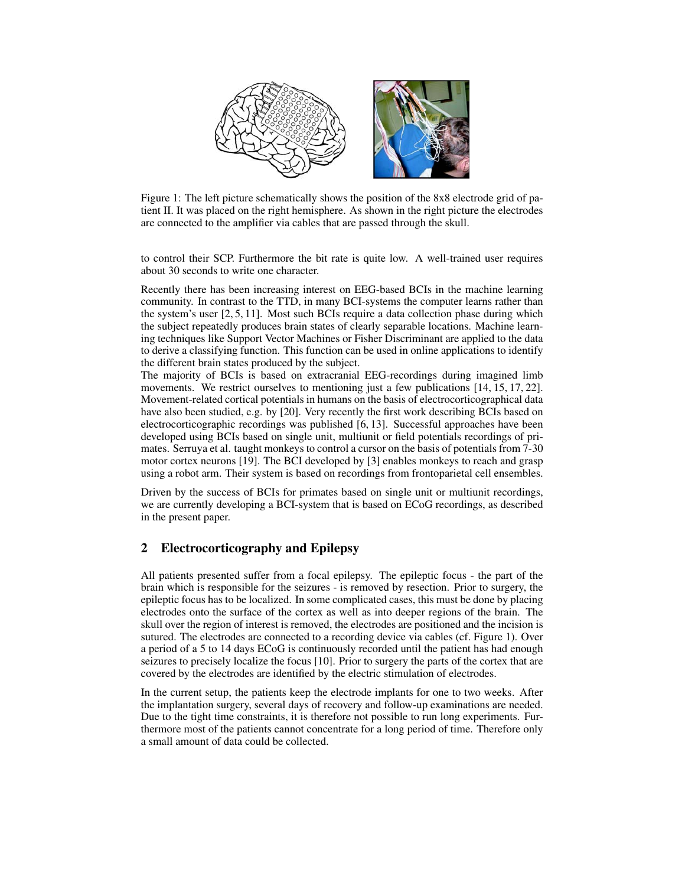

Figure 1: The left picture schematically shows the position of the 8x8 electrode grid of patient II. It was placed on the right hemisphere. As shown in the right picture the electrodes are connected to the amplifier via cables that are passed through the skull.

to control their SCP. Furthermore the bit rate is quite low. A well-trained user requires about 30 seconds to write one character.

Recently there has been increasing interest on EEG-based BCIs in the machine learning community. In contrast to the TTD, in many BCI-systems the computer learns rather than the system's user [2, 5, 11]. Most such BCIs require a data collection phase during which the subject repeatedly produces brain states of clearly separable locations. Machine learning techniques like Support Vector Machines or Fisher Discriminant are applied to the data to derive a classifying function. This function can be used in online applications to identify the different brain states produced by the subject.

The majority of BCIs is based on extracranial EEG-recordings during imagined limb movements. We restrict ourselves to mentioning just a few publications [14, 15, 17, 22]. Movement-related cortical potentials in humans on the basis of electrocorticographical data have also been studied, e.g. by [20]. Very recently the first work describing BCIs based on electrocorticographic recordings was published [6, 13]. Successful approaches have been developed using BCIs based on single unit, multiunit or field potentials recordings of primates. Serruya et al. taught monkeys to control a cursor on the basis of potentials from 7-30 motor cortex neurons [19]. The BCI developed by [3] enables monkeys to reach and grasp using a robot arm. Their system is based on recordings from frontoparietal cell ensembles.

Driven by the success of BCIs for primates based on single unit or multiunit recordings, we are currently developing a BCI-system that is based on ECoG recordings, as described in the present paper.

## **2 Electrocorticography and Epilepsy**

All patients presented suffer from a focal epilepsy. The epileptic focus - the part of the brain which is responsible for the seizures - is removed by resection. Prior to surgery, the epileptic focus has to be localized. In some complicated cases, this must be done by placing electrodes onto the surface of the cortex as well as into deeper regions of the brain. The skull over the region of interest is removed, the electrodes are positioned and the incision is sutured. The electrodes are connected to a recording device via cables (cf. Figure 1). Over a period of a 5 to 14 days ECoG is continuously recorded until the patient has had enough seizures to precisely localize the focus [10]. Prior to surgery the parts of the cortex that are covered by the electrodes are identified by the electric stimulation of electrodes.

In the current setup, the patients keep the electrode implants for one to two weeks. After the implantation surgery, several days of recovery and follow-up examinations are needed. Due to the tight time constraints, it is therefore not possible to run long experiments. Furthermore most of the patients cannot concentrate for a long period of time. Therefore only a small amount of data could be collected.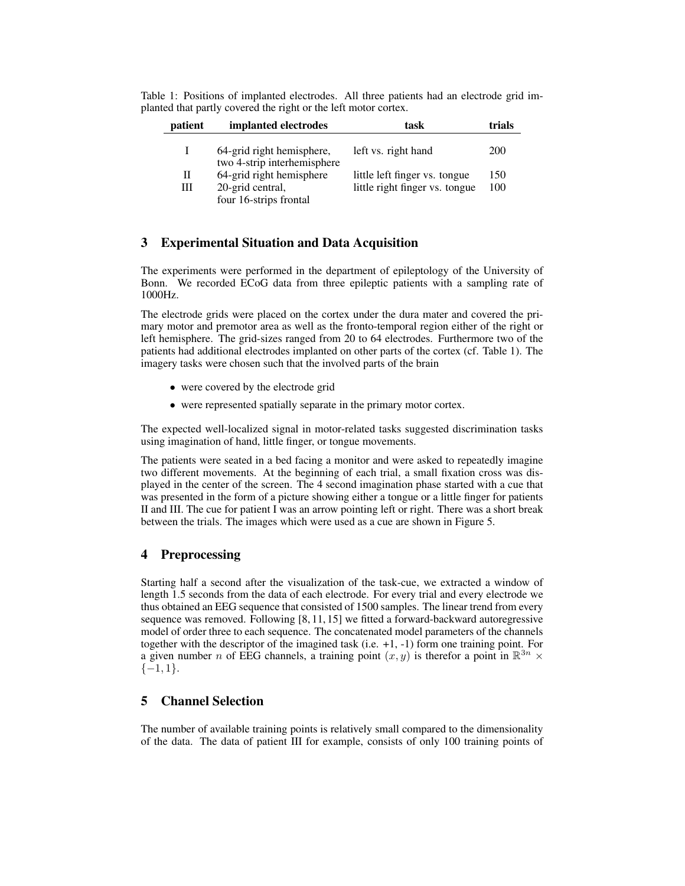|                                                                 |  |  | Table 1: Positions of implanted electrodes. All three patients had an electrode grid im- |  |  |  |  |  |  |  |
|-----------------------------------------------------------------|--|--|------------------------------------------------------------------------------------------|--|--|--|--|--|--|--|
| planted that partly covered the right or the left motor cortex. |  |  |                                                                                          |  |  |  |  |  |  |  |

| patient | implanted electrodes                                                   | task                                                            | trials     |
|---------|------------------------------------------------------------------------|-----------------------------------------------------------------|------------|
|         | 64-grid right hemisphere,<br>two 4-strip interhemisphere               | left vs. right hand                                             | 200        |
| П<br>Ш  | 64-grid right hemisphere<br>20-grid central,<br>four 16-strips frontal | little left finger vs. tongue<br>little right finger vs. tongue | 150<br>100 |

## **3 Experimental Situation and Data Acquisition**

The experiments were performed in the department of epileptology of the University of Bonn. We recorded ECoG data from three epileptic patients with a sampling rate of 1000Hz.

The electrode grids were placed on the cortex under the dura mater and covered the primary motor and premotor area as well as the fronto-temporal region either of the right or left hemisphere. The grid-sizes ranged from 20 to 64 electrodes. Furthermore two of the patients had additional electrodes implanted on other parts of the cortex (cf. Table 1). The imagery tasks were chosen such that the involved parts of the brain

- were covered by the electrode grid
- were represented spatially separate in the primary motor cortex.

The expected well-localized signal in motor-related tasks suggested discrimination tasks using imagination of hand, little finger, or tongue movements.

The patients were seated in a bed facing a monitor and were asked to repeatedly imagine two different movements. At the beginning of each trial, a small fixation cross was displayed in the center of the screen. The 4 second imagination phase started with a cue that was presented in the form of a picture showing either a tongue or a little finger for patients II and III. The cue for patient I was an arrow pointing left or right. There was a short break between the trials. The images which were used as a cue are shown in Figure 5.

### **4 Preprocessing**

Starting half a second after the visualization of the task-cue, we extracted a window of length 1.5 seconds from the data of each electrode. For every trial and every electrode we thus obtained an EEG sequence that consisted of 1500 samples. The linear trend from every sequence was removed. Following [8, 11, 15] we fitted a forward-backward autoregressive model of order three to each sequence. The concatenated model parameters of the channels together with the descriptor of the imagined task (i.e. +1, -1) form one training point. For a given number *n* of EEG channels, a training point  $(x, y)$  is therefor a point in  $\mathbb{R}^{3n}$  ×  $\{-1,1\}.$ 

## **5 Channel Selection**

The number of available training points is relatively small compared to the dimensionality of the data. The data of patient III for example, consists of only 100 training points of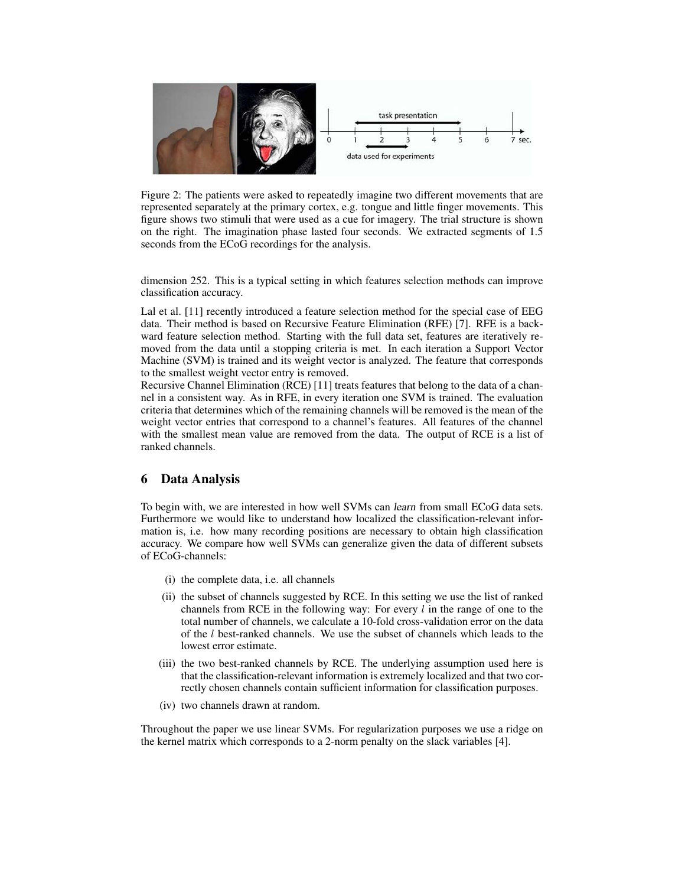

Figure 2: The patients were asked to repeatedly imagine two different movements that are represented separately at the primary cortex, e.g. tongue and little finger movements. This figure shows two stimuli that were used as a cue for imagery. The trial structure is shown on the right. The imagination phase lasted four seconds. We extracted segments of 1.5 seconds from the ECoG recordings for the analysis.

dimension 252. This is a typical setting in which features selection methods can improve classification accuracy.

Lal et al. [11] recently introduced a feature selection method for the special case of EEG data. Their method is based on Recursive Feature Elimination (RFE) [7]. RFE is a backward feature selection method. Starting with the full data set, features are iteratively removed from the data until a stopping criteria is met. In each iteration a Support Vector Machine (SVM) is trained and its weight vector is analyzed. The feature that corresponds to the smallest weight vector entry is removed.

Recursive Channel Elimination (RCE) [11] treats features that belong to the data of a channel in a consistent way. As in RFE, in every iteration one SVM is trained. The evaluation criteria that determines which of the remaining channels will be removed is the mean of the weight vector entries that correspond to a channel's features. All features of the channel with the smallest mean value are removed from the data. The output of RCE is a list of ranked channels.

### **6 Data Analysis**

To begin with, we are interested in how well SVMs can learn from small ECoG data sets. Furthermore we would like to understand how localized the classification-relevant information is, i.e. how many recording positions are necessary to obtain high classification accuracy. We compare how well SVMs can generalize given the data of different subsets of ECoG-channels:

- (i) the complete data, i.e. all channels
- (ii) the subset of channels suggested by RCE. In this setting we use the list of ranked channels from RCE in the following way: For every  $l$  in the range of one to the total number of channels, we calculate a 10-fold cross-validation error on the data of the l best-ranked channels. We use the subset of channels which leads to the lowest error estimate.
- (iii) the two best-ranked channels by RCE. The underlying assumption used here is that the classification-relevant information is extremely localized and that two correctly chosen channels contain sufficient information for classification purposes.
- (iv) two channels drawn at random.

Throughout the paper we use linear SVMs. For regularization purposes we use a ridge on the kernel matrix which corresponds to a 2-norm penalty on the slack variables [4].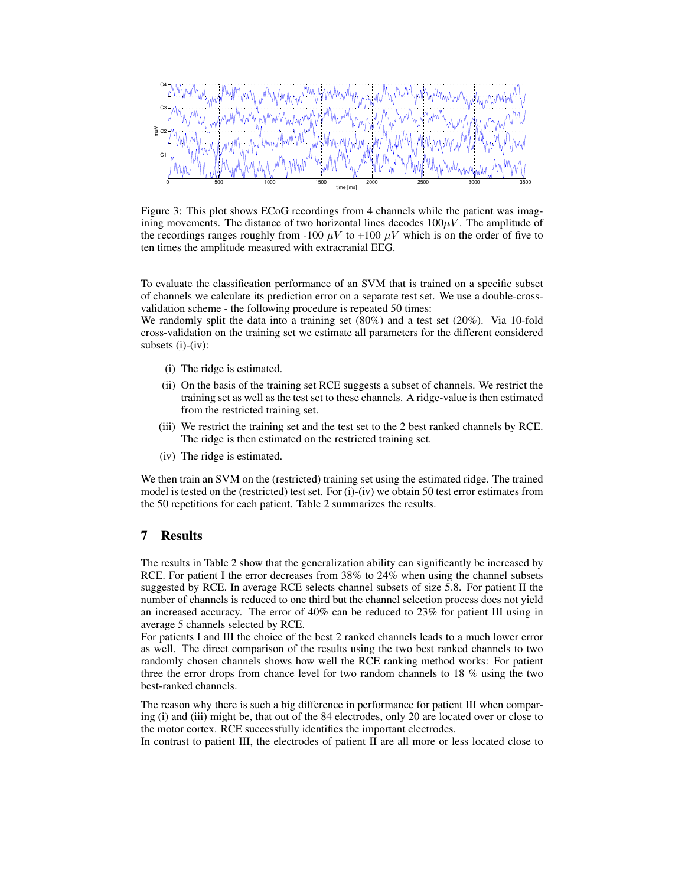0 500 1000 1500 2000 2500 3000 3500 C1 C2 C3 C4 mu<br>E time [ms]

Figure 3: This plot shows ECoG recordings from 4 channels while the patient was imagining movements. The distance of two horizontal lines decodes  $100\mu V$ . The amplitude of the recordings ranges roughly from -100  $\mu$ V to +100  $\mu$ V which is on the order of five to ten times the amplitude measured with extracranial EEG.

To evaluate the classification performance of an SVM that is trained on a specific subset of channels we calculate its prediction error on a separate test set. We use a double-crossvalidation scheme - the following procedure is repeated 50 times:

We randomly split the data into a training set  $(80%)$  and a test set  $(20%)$ . Via 10-fold cross-validation on the training set we estimate all parameters for the different considered subsets (i)-(iv):

- (i) The ridge is estimated.
- (ii) On the basis of the training set RCE suggests a subset of channels. We restrict the training set as well as the test set to these channels. A ridge-value is then estimated from the restricted training set.
- (iii) We restrict the training set and the test set to the 2 best ranked channels by RCE. The ridge is then estimated on the restricted training set.
- (iv) The ridge is estimated.

We then train an SVM on the (restricted) training set using the estimated ridge. The trained model is tested on the (restricted) test set. For (i)-(iv) we obtain 50 test error estimates from the 50 repetitions for each patient. Table 2 summarizes the results.

## **7 Results**

The results in Table 2 show that the generalization ability can significantly be increased by RCE. For patient I the error decreases from 38% to 24% when using the channel subsets suggested by RCE. In average RCE selects channel subsets of size 5.8. For patient II the number of channels is reduced to one third but the channel selection process does not yield an increased accuracy. The error of 40% can be reduced to 23% for patient III using in average 5 channels selected by RCE.

For patients I and III the choice of the best 2 ranked channels leads to a much lower error as well. The direct comparison of the results using the two best ranked channels to two randomly chosen channels shows how well the RCE ranking method works: For patient three the error drops from chance level for two random channels to 18 % using the two best-ranked channels.

The reason why there is such a big difference in performance for patient III when comparing (i) and (iii) might be, that out of the 84 electrodes, only 20 are located over or close to the motor cortex. RCE successfully identifies the important electrodes.

In contrast to patient III, the electrodes of patient II are all more or less located close to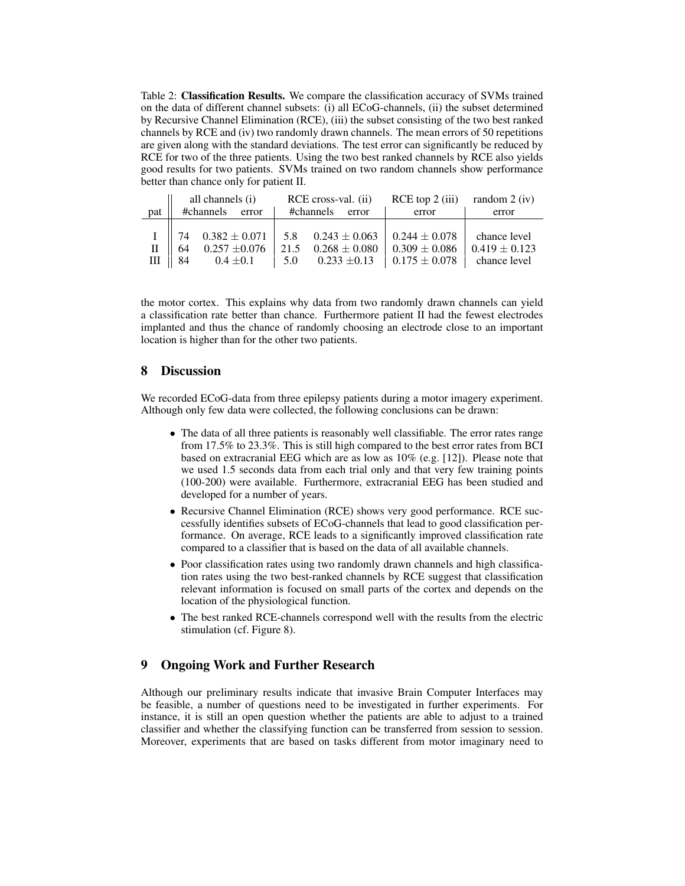Table 2: **Classification Results.** We compare the classification accuracy of SVMs trained on the data of different channel subsets: (i) all ECoG-channels, (ii) the subset determined by Recursive Channel Elimination (RCE), (iii) the subset consisting of the two best ranked channels by RCE and (iv) two randomly drawn channels. The mean errors of 50 repetitions are given along with the standard deviations. The test error can significantly be reduced by RCE for two of the three patients. Using the two best ranked channels by RCE also yields good results for two patients. SVMs trained on two random channels show performance better than chance only for patient II.

|              | all channels (i)<br>#channels error |               | RCE cross-val. (ii)<br>#channels error                        |     |                  | RCE top $2$ (iii) random $2$ (iv) |  |                   |                   |
|--------------|-------------------------------------|---------------|---------------------------------------------------------------|-----|------------------|-----------------------------------|--|-------------------|-------------------|
| pat          |                                     |               |                                                               |     |                  |                                   |  | error             | error             |
|              | $\parallel$ 74                      |               | $0.382 \pm 0.071$   5.8 $0.243 \pm 0.063$   0.244 $\pm$ 0.078 |     |                  |                                   |  |                   | chance level      |
| $\mathbf{I}$ | 64                                  |               | $0.257 \pm 0.076$ 21.5                                        |     | $0.268\pm0.080$  |                                   |  | $0.309 \pm 0.086$ | $0.419 \pm 0.123$ |
| Ш            | $\parallel$ 84                      | $0.4 \pm 0.1$ |                                                               | 5.0 | $0.233 \pm 0.13$ |                                   |  | $0.175 \pm 0.078$ | chance level      |

the motor cortex. This explains why data from two randomly drawn channels can yield a classification rate better than chance. Furthermore patient II had the fewest electrodes implanted and thus the chance of randomly choosing an electrode close to an important location is higher than for the other two patients.

## **8 Discussion**

We recorded ECoG-data from three epilepsy patients during a motor imagery experiment. Although only few data were collected, the following conclusions can be drawn:

- The data of all three patients is reasonably well classifiable. The error rates range from 17.5% to 23.3%. This is still high compared to the best error rates from BCI based on extracranial EEG which are as low as 10% (e.g. [12]). Please note that we used 1.5 seconds data from each trial only and that very few training points (100-200) were available. Furthermore, extracranial EEG has been studied and developed for a number of years.
- Recursive Channel Elimination (RCE) shows very good performance. RCE successfully identifies subsets of ECoG-channels that lead to good classification performance. On average, RCE leads to a significantly improved classification rate compared to a classifier that is based on the data of all available channels.
- Poor classification rates using two randomly drawn channels and high classification rates using the two best-ranked channels by RCE suggest that classification relevant information is focused on small parts of the cortex and depends on the location of the physiological function.
- The best ranked RCE-channels correspond well with the results from the electric stimulation (cf. Figure 8).

## **9 Ongoing Work and Further Research**

Although our preliminary results indicate that invasive Brain Computer Interfaces may be feasible, a number of questions need to be investigated in further experiments. For instance, it is still an open question whether the patients are able to adjust to a trained classifier and whether the classifying function can be transferred from session to session. Moreover, experiments that are based on tasks different from motor imaginary need to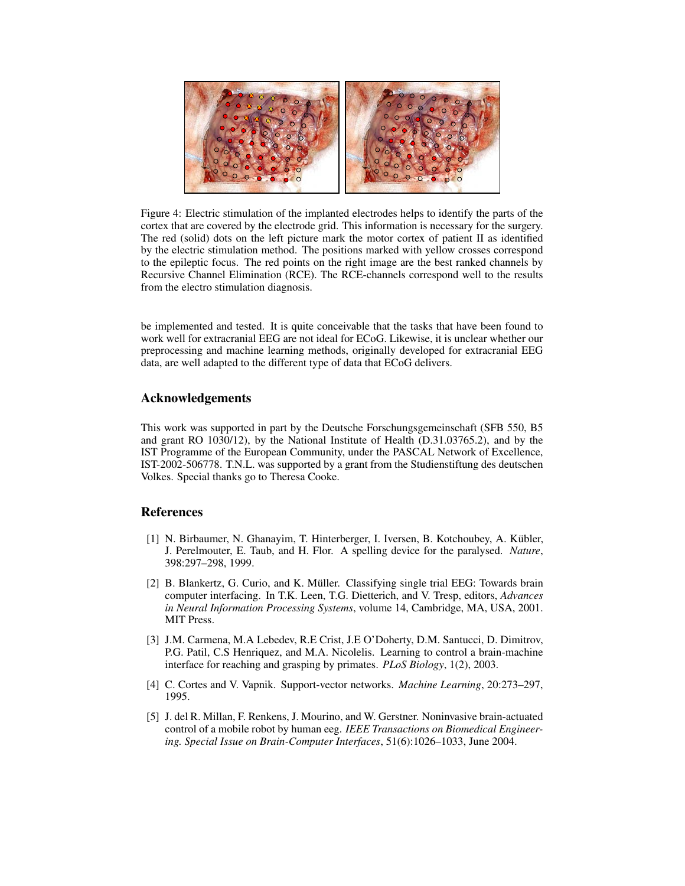

Figure 4: Electric stimulation of the implanted electrodes helps to identify the parts of the cortex that are covered by the electrode grid. This information is necessary for the surgery. The red (solid) dots on the left picture mark the motor cortex of patient II as identified by the electric stimulation method. The positions marked with yellow crosses correspond to the epileptic focus. The red points on the right image are the best ranked channels by Recursive Channel Elimination (RCE). The RCE-channels correspond well to the results from the electro stimulation diagnosis.

be implemented and tested. It is quite conceivable that the tasks that have been found to work well for extracranial EEG are not ideal for ECoG. Likewise, it is unclear whether our preprocessing and machine learning methods, originally developed for extracranial EEG data, are well adapted to the different type of data that ECoG delivers.

#### **Acknowledgements**

This work was supported in part by the Deutsche Forschungsgemeinschaft (SFB 550, B5 and grant RO 1030/12), by the National Institute of Health (D.31.03765.2), and by the IST Programme of the European Community, under the PASCAL Network of Excellence, IST-2002-506778. T.N.L. was supported by a grant from the Studienstiftung des deutschen Volkes. Special thanks go to Theresa Cooke.

#### **References**

- [1] N. Birbaumer, N. Ghanayim, T. Hinterberger, I. Iversen, B. Kotchoubey, A. Kübler, J. Perelmouter, E. Taub, and H. Flor. A spelling device for the paralysed. *Nature*, 398:297–298, 1999.
- [2] B. Blankertz, G. Curio, and K. Müller. Classifying single trial EEG: Towards brain computer interfacing. In T.K. Leen, T.G. Dietterich, and V. Tresp, editors, *Advances in Neural Information Processing Systems*, volume 14, Cambridge, MA, USA, 2001. MIT Press.
- [3] J.M. Carmena, M.A Lebedev, R.E Crist, J.E O'Doherty, D.M. Santucci, D. Dimitrov, P.G. Patil, C.S Henriquez, and M.A. Nicolelis. Learning to control a brain-machine interface for reaching and grasping by primates. *PLoS Biology*, 1(2), 2003.
- [4] C. Cortes and V. Vapnik. Support-vector networks. *Machine Learning*, 20:273–297, 1995.
- [5] J. del R. Millan, F. Renkens, J. Mourino, and W. Gerstner. Noninvasive brain-actuated control of a mobile robot by human eeg. *IEEE Transactions on Biomedical Engineering. Special Issue on Brain-Computer Interfaces*, 51(6):1026–1033, June 2004.